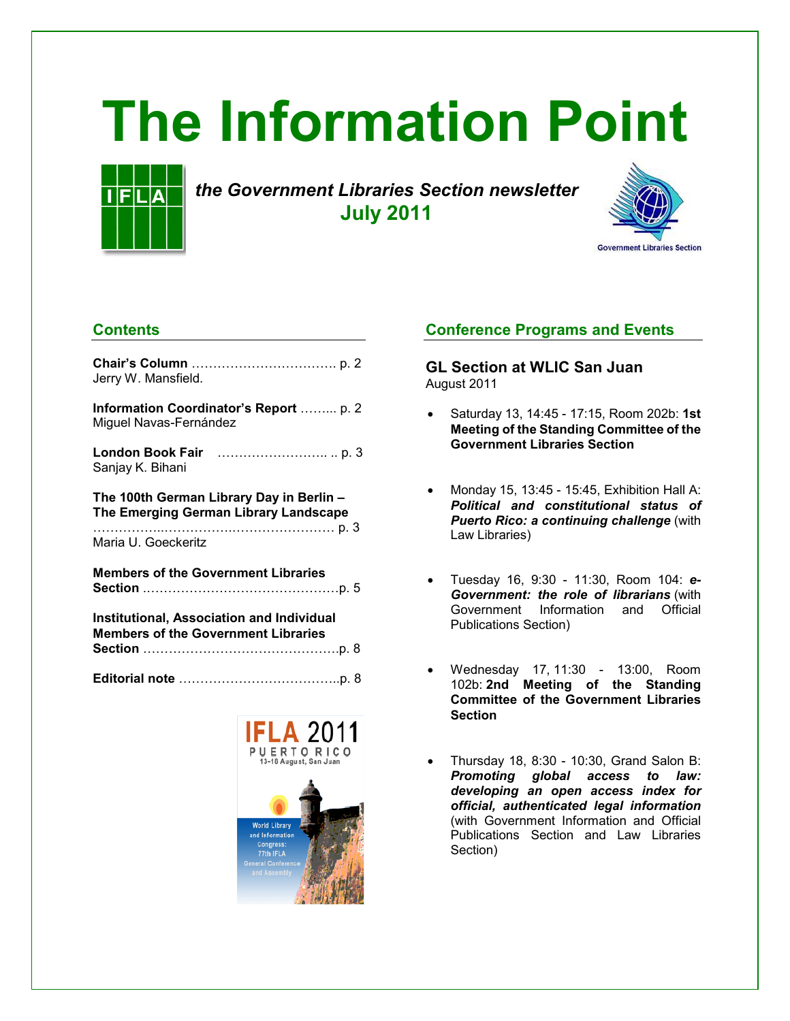# **The Information Point**



*the Government Libraries Section newsletter* **July 2011**



# **Contents**

| Jerry W. Mansfield.                                                                            |
|------------------------------------------------------------------------------------------------|
| Information Coordinator's Report  p. 2<br>Miguel Navas-Fernández                               |
| Sanjay K. Bihani                                                                               |
| The 100th German Library Day in Berlin -<br>The Emerging German Library Landscape              |
| Maria U. Goeckeritz                                                                            |
| <b>Members of the Government Libraries</b>                                                     |
| <b>Institutional, Association and Individual</b><br><b>Members of the Government Libraries</b> |
|                                                                                                |



# **Conference Programs and Events**

**GL Section at WLIC San Juan**  August 2011

- Saturday 13, 14:45 17:15, Room 202b: **1st Meeting of the Standing Committee of the Government Libraries Section**
- Monday 15, 13:45 15:45, Exhibition Hall A: *Political and constitutional status of Puerto Rico: a continuing challenge* (with Law Libraries)
- Tuesday 16, 9:30 11:30, Room 104: *e-Government: the role of librarians* (with Government Information and Official Publications Section)
- Wednesday 17, 11:30 13:00, Room 102b: **2nd Meeting of the Standing Committee of the Government Libraries Section**
- Thursday 18, 8:30 10:30, Grand Salon B: *Promoting global access to law: developing an open access index for official, authenticated legal information* (with Government Information and Official Publications Section and Law Libraries Section)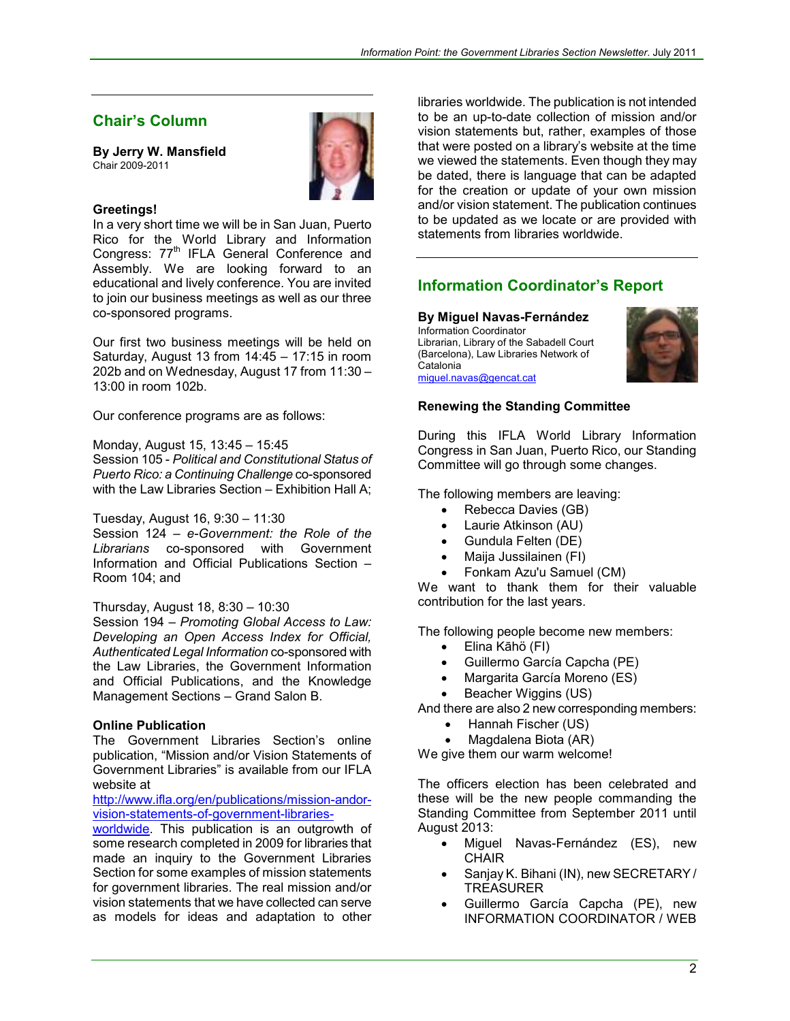# **Chair's Column**

**By Jerry W. Mansfield**  Chair 2009-2011



#### **Greetings!**

In a very short time we will be in San Juan, Puerto Rico for the World Library and Information Congress: 77<sup>th</sup> IFLA General Conference and Assembly. We are looking forward to an educational and lively conference. You are invited to join our business meetings as well as our three co-sponsored programs.

Our first two business meetings will be held on Saturday, August 13 from 14:45 – 17:15 in room 202b and on Wednesday, August 17 from 11:30 – 13:00 in room 102b.

Our conference programs are as follows:

Monday, August 15, 13:45 – 15:45

Session 105 - *Political and Constitutional Status of Puerto Rico: a Continuing Challenge* co-sponsored with the Law Libraries Section - Exhibition Hall A;

Tuesday, August 16, 9:30 – 11:30

Session 124 – *e-Government: the Role of the Librarians* co-sponsored with Government Information and Official Publications Section – Room 104; and

#### Thursday, August 18, 8:30 – 10:30

Session 194 – *Promoting Global Access to Law: Developing an Open Access Index for Official, Authenticated Legal Information* co-sponsored with the Law Libraries, the Government Information and Official Publications, and the Knowledge Management Sections – Grand Salon B.

#### **Online Publication**

The Government Libraries Section's online publication, "Mission and/or Vision Statements of Government Libraries" is available from our IFLA website at

[http://www.ifla.org/en/publications/mission-andor](http://www.ifla.org/en/publications/mission-andor-vision-statements-of-government-libraries-worldwide)[vision-statements-of-government-libraries-](http://www.ifla.org/en/publications/mission-andor-vision-statements-of-government-libraries-worldwide)

[worldwide.](http://www.ifla.org/en/publications/mission-andor-vision-statements-of-government-libraries-worldwide) This publication is an outgrowth of some research completed in 2009 for libraries that made an inquiry to the Government Libraries Section for some examples of mission statements for government libraries. The real mission and/or vision statements that we have collected can serve as models for ideas and adaptation to other

libraries worldwide. The publication is not intended to be an up-to-date collection of mission and/or vision statements but, rather, examples of those that were posted on a library's website at the time we viewed the statements. Even though they may be dated, there is language that can be adapted for the creation or update of your own mission and/or vision statement. The publication continues to be updated as we locate or are provided with statements from libraries worldwide.

# **Information Coordinator's Report**

**By Miguel Navas-Fernández**  Information Coordinator Librarian, Library of the Sabadell Court (Barcelona), Law Libraries Network of Catalonia [miguel.navas@gencat.cat](mailto:miguel.navas@gencat.cat)



#### **Renewing the Standing Committee**

During this IFLA World Library Information Congress in San Juan, Puerto Rico, our Standing Committee will go through some changes.

The following members are leaving:

- Rebecca Davies (GB)
- Laurie Atkinson (AU)
- Gundula Felten (DE)
- Maija Jussilainen (FI)
- Fonkam Azu'u Samuel (CM)

We want to thank them for their valuable contribution for the last years.

The following people become new members:

- Elina Kāhö (FI)
- Guillermo García Capcha (PE)
- Margarita García Moreno (ES)
- Beacher Wiggins (US)

And there are also 2 new corresponding members:

- Hannah Fischer (US)
- Magdalena Biota (AR)

We give them our warm welcome!

The officers election has been celebrated and these will be the new people commanding the Standing Committee from September 2011 until August 2013:

- Miguel Navas-Fernández (ES), new **CHAIR**
- Sanjay K. Bihani (IN), new SECRETARY / TREASURER
- Guillermo García Capcha (PE), new INFORMATION COORDINATOR / WEB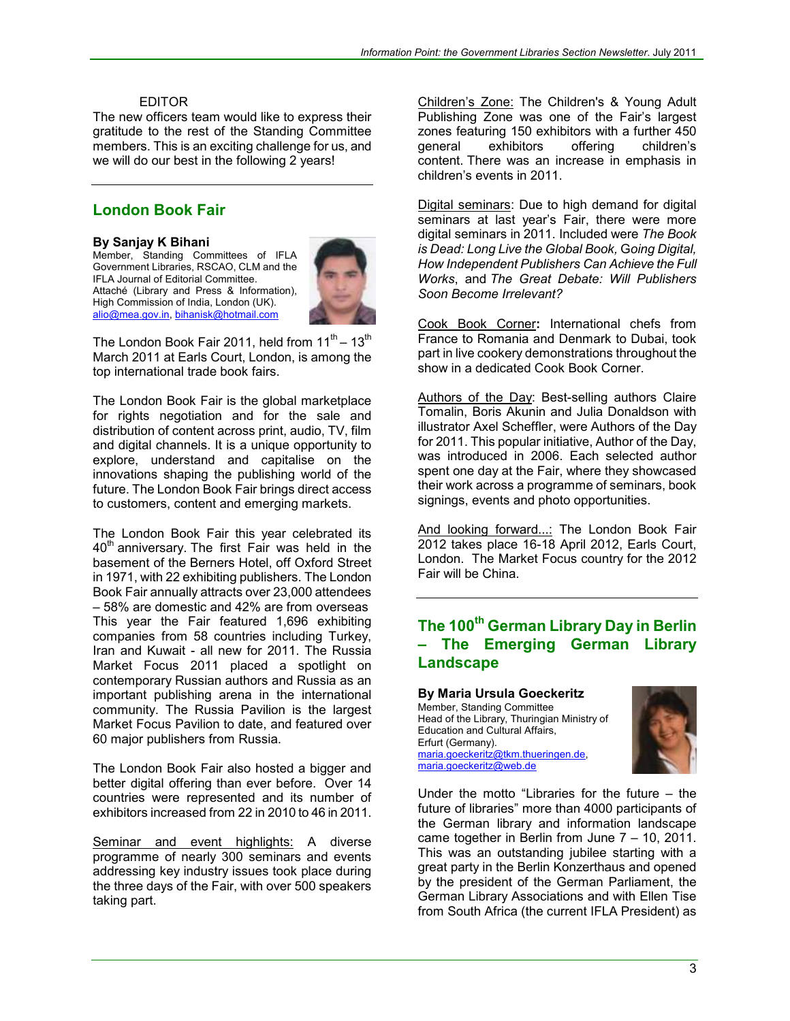#### EDITOR

The new officers team would like to express their gratitude to the rest of the Standing Committee members. This is an exciting challenge for us, and we will do our best in the following 2 years!

## **London Book Fair**

#### **By Sanjay K Bihani**

Member, Standing Committees of IFLA Government Libraries, RSCAO, CLM and the IFLA Journal of Editorial Committee. Attaché (Library and Press & Information), High Commission of India, London (UK). [alio@mea.gov.in](mailto:alio@mea.gov.in), [bihanisk@hotmail.com](mailto:bihanisk@hotmail.com)



The London Book Fair 2011, held from  $11^{th} - 13^{th}$ March 2011 at Earls Court, London, is among the top international trade book fairs.

The London Book Fair is the global marketplace for rights negotiation and for the sale and distribution of content across print, audio, TV, film and digital channels. It is a unique opportunity to explore, understand and capitalise on the innovations shaping the publishing world of the future. The London Book Fair brings direct access to customers, content and emerging markets.

The London Book Fair this year celebrated its  $40<sup>th</sup>$  anniversary. The first Fair was held in the basement of the Berners Hotel, off Oxford Street in 1971, with 22 exhibiting publishers. The London Book Fair annually attracts over 23,000 attendees – 58% are domestic and 42% are from overseas This year the Fair featured 1,696 exhibiting companies from 58 countries including Turkey, Iran and Kuwait - all new for 2011. The Russia Market Focus 2011 placed a spotlight on contemporary Russian authors and Russia as an important publishing arena in the international community. The Russia Pavilion is the largest Market Focus Pavilion to date, and featured over 60 major publishers from Russia.

The London Book Fair also hosted a bigger and better digital offering than ever before. Over 14 countries were represented and its number of exhibitors increased from 22 in 2010 to 46 in 2011.

Seminar and event highlights: A diverse programme of nearly 300 seminars and events addressing key industry issues took place during the three days of the Fair, with over 500 speakers taking part.

Children's Zone: The Children's & Young Adult Publishing Zone was one of the Fair's largest zones featuring 150 exhibitors with a further 450 general exhibitors offering children's content. There was an increase in emphasis in children's events in 2011.

Digital seminars: Due to high demand for digital seminars at last year's Fair, there were more digital seminars in 2011. Included were *The Book is Dead: Long Live the Global Book,* G*oing Digital, How Independent Publishers Can Achieve the Full Works*, and *The Great Debate: Will Publishers Soon Become Irrelevant?* 

Cook Book Corner**:** International chefs from France to Romania and Denmark to Dubai, took part in live cookery demonstrations throughout the show in a dedicated Cook Book Corner.

Authors of the Day: Best-selling authors Claire Tomalin, Boris Akunin and Julia Donaldson with illustrator Axel Scheffler, were Authors of the Day for 2011. This popular initiative, Author of the Day, was introduced in 2006. Each selected author spent one day at the Fair, where they showcased their work across a programme of seminars, book signings, events and photo opportunities.

And looking forward...: The London Book Fair 2012 takes place 16-18 April 2012, Earls Court, London. The Market Focus country for the 2012 Fair will be China.

# **The 100th German Library Day in Berlin – The Emerging German Library Landscape**

**By Maria Ursula Goeckeritz**  Member, Standing Committee

Head of the Library, Thuringian Ministry of Education and Cultural Affairs, Erfurt (Germany). [maria.goeckeritz@tkm.thueringen.de](mailto:maria.goeckeritz@tkm.thueringen.de), [maria.goeckeritz@web.de](mailto:maria.goeckeritz@web.de)



Under the motto "Libraries for the future – the future of libraries" more than 4000 participants of the German library and information landscape came together in Berlin from June 7 – 10, 2011. This was an outstanding jubilee starting with a great party in the Berlin Konzerthaus and opened by the president of the German Parliament, the German Library Associations and with Ellen Tise from South Africa (the current IFLA President) as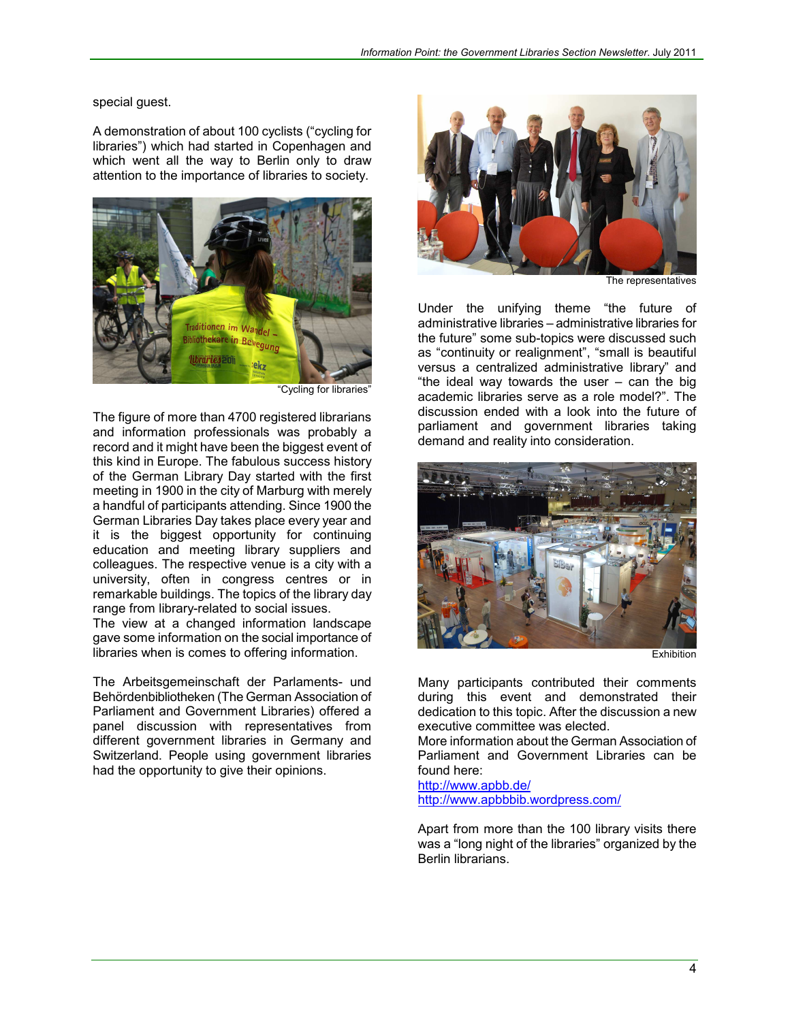special guest.

A demonstration of about 100 cyclists ("cycling for libraries") which had started in Copenhagen and which went all the way to Berlin only to draw attention to the importance of libraries to society.



"Cycling for libraries"

 $\begin{array}{c} \hline \end{array}$ 

The figure of more than 4700 registered librarians and information professionals was probably a record and it might have been the biggest event of this kind in Europe. The fabulous success history of the German Library Day started with the first meeting in 1900 in the city of Marburg with merely a handful of participants attending. Since 1900 the German Libraries Day takes place every year and it is the biggest opportunity for continuing education and meeting library suppliers and colleagues. The respective venue is a city with a university, often in congress centres or in remarkable buildings. The topics of the library day range from library-related to social issues.

The view at a changed information landscape gave some information on the social importance of libraries when is comes to offering information.

The Arbeitsgemeinschaft der Parlaments- und Behördenbibliotheken (The German Association of Parliament and Government Libraries) offered a panel discussion with representatives from different government libraries in Germany and Switzerland. People using government libraries had the opportunity to give their opinions.



The representatives

Under the unifying theme "the future of administrative libraries – administrative libraries for the future" some sub-topics were discussed such as "continuity or realignment", "small is beautiful versus a centralized administrative library" and "the ideal way towards the user – can the big academic libraries serve as a role model?". The discussion ended with a look into the future of parliament and government libraries taking demand and reality into consideration.



Exhibition

Many participants contributed their comments during this event and demonstrated their dedication to this topic. After the discussion a new executive committee was elected.

More information about the German Association of Parliament and Government Libraries can be found here:

<http://www.apbb.de/> <http://www.apbbbib.wordpress.com/>

Apart from more than the 100 library visits there was a "long night of the libraries" organized by the Berlin librarians.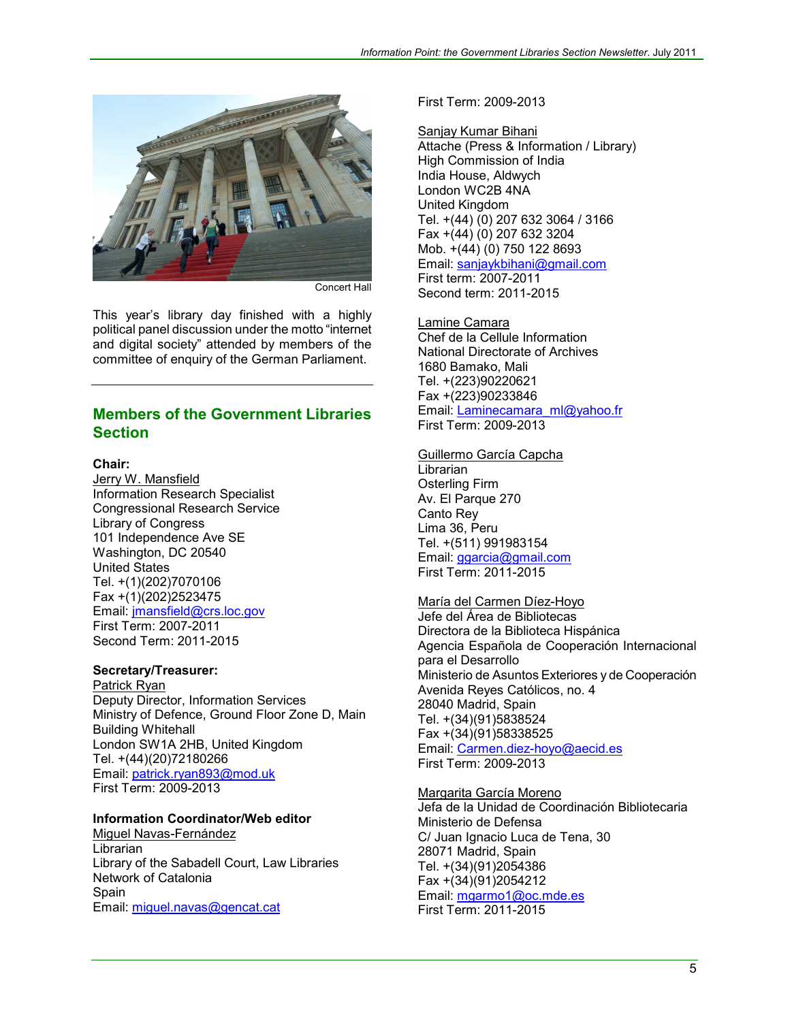

Concert Hall

This year's library day finished with a highly political panel discussion under the motto "internet and digital society" attended by members of the committee of enquiry of the German Parliament.

## **Members of the Government Libraries Section**

#### **Chair:**

Jerry W. Mansfield Information Research Specialist Congressional Research Service Library of Congress 101 Independence Ave SE Washington, DC 20540 United States Tel. +(1)(202)7070106 Fax +(1)(202)2523475 Email: [jmansfield@crs.loc.gov](mailto:jmansfield@crs.loc.gov) First Term: 2007-2011 Second Term: 2011-2015

#### **Secretary/Treasurer:**

Patrick Ryan Deputy Director, Information Services Ministry of Defence, Ground Floor Zone D, Main Building Whitehall London SW1A 2HB, United Kingdom Tel. +(44)(20)72180266 Email: [patrick.ryan893@mod.uk](mailto:patrick.ryan893@mod.uk) First Term: 2009-2013

#### **Information Coordinator/Web editor**

Miguel Navas-Fernández Librarian Library of the Sabadell Court, Law Libraries Network of Catalonia Spain Email: [miguel.navas@gencat.cat](mailto:mihuel.navas@gencat.cat)

First Term: 2009-2013

Sanjay Kumar Bihani Attache (Press & Information / Library) High Commission of India India House, Aldwych London WC2B 4NA United Kingdom Tel. +(44) (0) 207 632 3064 / 3166 Fax +(44) (0) 207 632 3204 Mob. +(44) (0) 750 122 8693 Email: [sanjaykbihani@gmail.com](mailto:sanjaykbihani@gmail.com)  First term: 2007-2011 Second term: 2011-2015

Lamine Camara Chef de la Cellule Information National Directorate of Archives 1680 Bamako, Mali Tel. +(223)90220621 Fax +(223)90233846 Email: [Laminecamara\\_ml@yahoo.fr](mailto:Laminecamara_ml@yahoo.fr) First Term: 2009-2013

#### Guillermo García Capcha Librarian

Osterling Firm Av. El Parque 270 Canto Rey Lima 36, Peru Tel. +(511) 991983154 Email: [ggarcia@gmail.com](mailto:ggarcia@gmail.com) First Term: 2011-2015

#### María del Carmen Díez-Hoyo

Jefe del Área de Bibliotecas Directora de la Biblioteca Hispánica Agencia Española de Cooperación Internacional para el Desarrollo Ministerio de Asuntos Exteriores y de Cooperación Avenida Reyes Católicos, no. 4 28040 Madrid, Spain Tel. +(34)(91)5838524 Fax +(34)(91)58338525 Email: [Carmen.diez-hoyo@aecid.es](mailto:Carmen.diez-hoyo@aecid.es) First Term: 2009-2013

Margarita García Moreno Jefa de la Unidad de Coordinación Bibliotecaria Ministerio de Defensa C/ Juan Ignacio Luca de Tena, 30 28071 Madrid, Spain Tel. +(34)(91)2054386 Fax +(34)(91)2054212 Email: [mgarmo1@oc.mde.es](mailto:mgarmo1@oc.mde.es) First Term: 2011-2015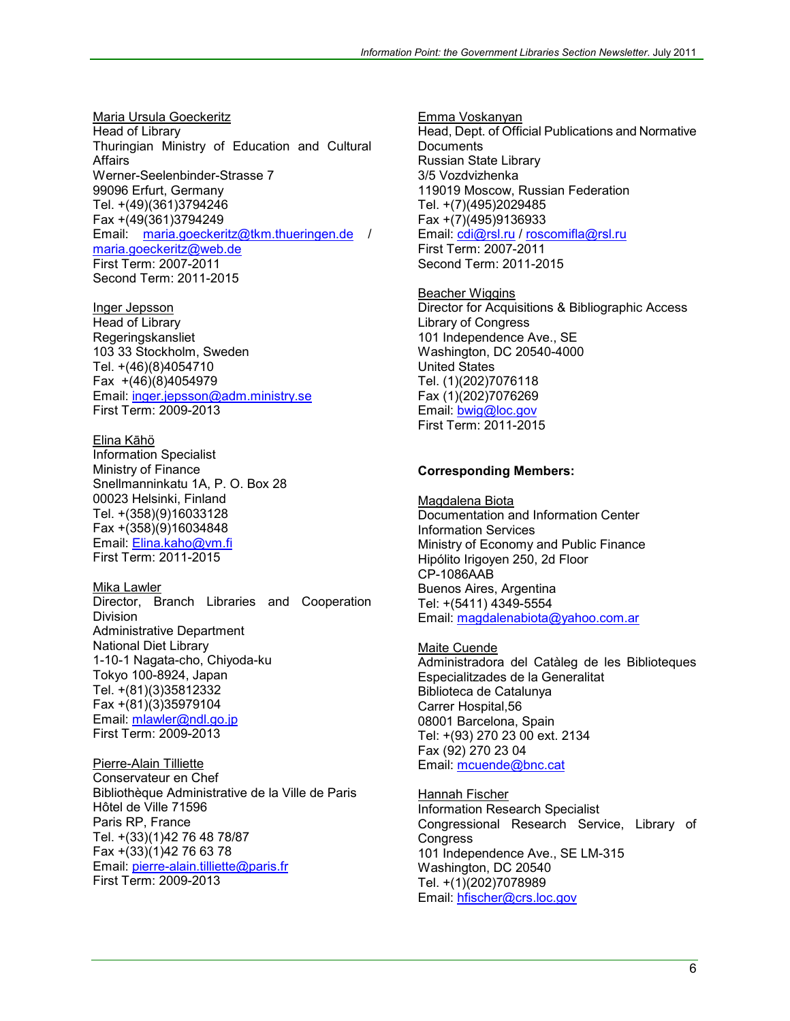Maria Ursula Goeckeritz Head of Library Thuringian Ministry of Education and Cultural Affairs Werner-Seelenbinder-Strasse 7 99096 Erfurt, Germany Tel. +(49)(361)3794246 Fax +(49(361)3794249 Email: [maria.goeckeritz@tkm.thueringen.de](mailto:maria.goeckeritz@tkm.thueringen.de) / [maria.goeckeritz@web.de](mailto:maria.goeckeritz@web.de) First Term: 2007-2011 Second Term: 2011-2015

Inger Jepsson Head of Library Regeringskansliet 103 33 Stockholm, Sweden Tel. +(46)(8)4054710 Fax +(46)(8)4054979 Email: [inger.jepsson@adm.ministry.se](mailto:inger.jepsson@adm.ministry.se) First Term: 2009-2013

Elina Kāhö Information Specialist Ministry of Finance Snellmanninkatu 1A, P. O. Box 28 00023 Helsinki, Finland Tel. +(358)(9)16033128 Fax +(358)(9)16034848 Email: [Elina.kaho@vm.fi](mailto:Elina.kaho@vm.fi) First Term: 2011-2015

Mika Lawler Director, Branch Libraries and Cooperation Division Administrative Department National Diet Library 1-10-1 Nagata-cho, Chiyoda-ku Tokyo 100-8924, Japan Tel. +(81)(3)35812332 Fax +(81)(3)35979104 Email: [mlawler@ndl.go.jp](mailto:mlawler@ndl.go.jp) First Term: 2009-2013

Pierre-Alain Tilliette Conservateur en Chef Bibliothèque Administrative de la Ville de Paris Hôtel de Ville 71596 Paris RP, France Tel. +(33)(1)42 76 48 78/87 Fax +(33)(1)42 76 63 78 Email: [pierre-alain.tilliette@paris.fr](mailto:pierre-alain.tilliette@paris.fr) First Term: 2009-2013

Emma Voskanyan Head, Dept. of Official Publications and Normative **Documents** Russian State Library 3/5 Vozdvizhenka 119019 Moscow, Russian Federation Tel. +(7)(495)2029485 Fax +(7)(495)9136933 Email: [cdi@rsl.ru](mailto:cdi@rsl.ru) / [roscomifla@rsl.ru](mailto:roscomifla@rsl.ru)  First Term: 2007-2011 Second Term: 2011-2015

**Beacher Wiggins** Director for Acquisitions & Bibliographic Access Library of Congress 101 Independence Ave., SE Washington, DC 20540-4000 United States Tel. (1)(202)7076118 Fax (1)(202)7076269 Email: [bwig@loc.gov](mailto:bwig@loc.gov) First Term: 2011-2015

#### **Corresponding Members:**

Magdalena Biota Documentation and Information Center Information Services Ministry of Economy and Public Finance Hipólito Irigoyen 250, 2d Floor CP-1086AAB Buenos Aires, Argentina Tel: +(5411) 4349-5554 Email: [magdalenabiota@yahoo.com.ar](mailto:magdalenabiota@yahoo.com.ar) 

Maite Cuende Administradora del Catàleg de les Biblioteques Especialitzades de la Generalitat Biblioteca de Catalunya Carrer Hospital,56 08001 Barcelona, Spain Tel: +(93) 270 23 00 ext. 2134 Fax (92) 270 23 04 Email: [mcuende@bnc.cat](mailto:mcuende@bnc.cat)

Hannah Fischer Information Research Specialist Congressional Research Service, Library of **Congress** 101 Independence Ave., SE LM-315 Washington, DC 20540 Tel. +(1)(202)7078989 Email: [hfischer@crs.loc.gov](mailto:hfischer@crs.loc.gov)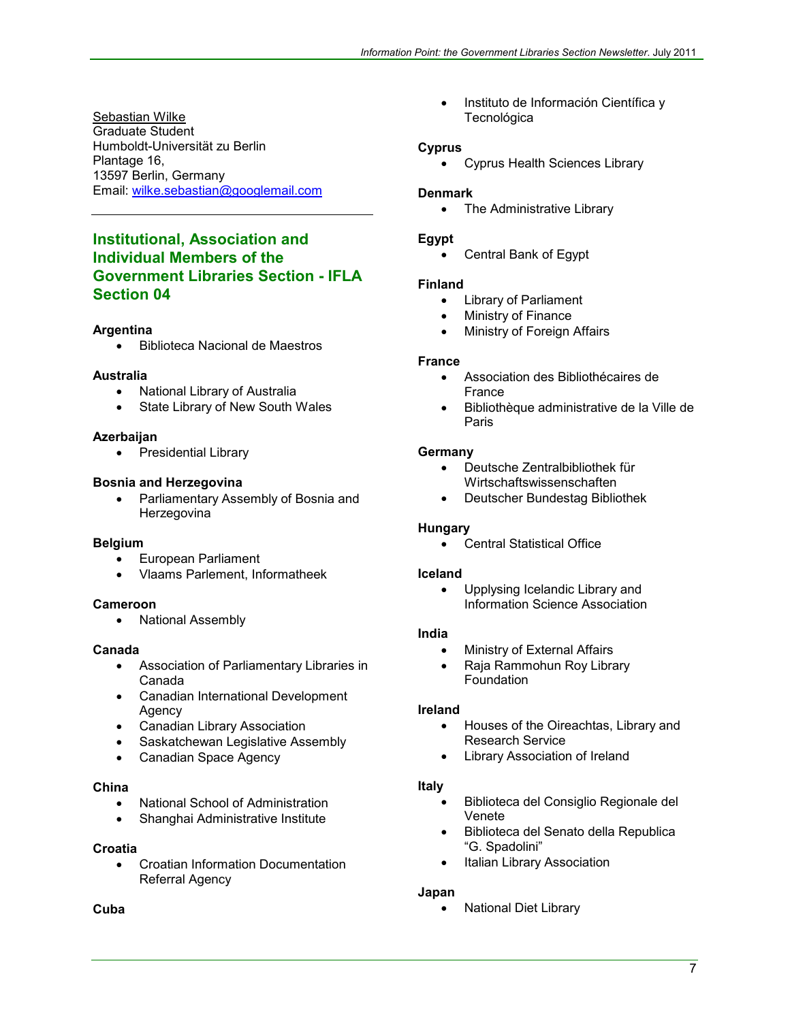Sebastian Wilke Graduate Student Humboldt-Universität zu Berlin Plantage 16, 13597 Berlin, Germany Email: [wilke.sebastian@googlemail.com](mailto:wilke.sebastian@googlemail.com)

# **Institutional, Association and Individual Members of the Government Libraries Section - IFLA Section 04**

#### **Argentina**

• Biblioteca Nacional de Maestros

#### **Australia**

- National Library of Australia
- State Library of New South Wales

#### **Azerbaijan**

• Presidential Library

#### **Bosnia and Herzegovina**

• Parliamentary Assembly of Bosnia and **Herzegovina** 

#### **Belgium**

- European Parliament
- Vlaams Parlement, Informatheek

#### **Cameroon**

• National Assembly

#### **Canada**

- Association of Parliamentary Libraries in Canada
- Canadian International Development Agency
- Canadian Library Association
- Saskatchewan Legislative Assembly
- Canadian Space Agency

#### **China**

- National School of Administration
- Shanghai Administrative Institute

#### **Croatia**

• Croatian Information Documentation Referral Agency

#### **Cuba**

• Instituto de Información Científica y **Tecnológica** 

#### **Cyprus**

• Cyprus Health Sciences Library

#### **Denmark**

• The Administrative Library

#### **Egypt**

• Central Bank of Egypt

#### **Finland**

- Library of Parliament
- Ministry of Finance
- Ministry of Foreign Affairs

#### **France**

- Association des Bibliothécaires de France
- Bibliothèque administrative de la Ville de Paris

#### **Germany**

- Deutsche Zentralbibliothek für Wirtschaftswissenschaften
- Deutscher Bundestag Bibliothek

#### **Hungary**

• Central Statistical Office

#### **Iceland**

• Upplysing Icelandic Library and Information Science Association

#### **India**

- Ministry of External Affairs
- Raja Rammohun Roy Library **Foundation**

#### **Ireland**

- Houses of the Oireachtas, Library and Research Service
- Library Association of Ireland

#### **Italy**

- Biblioteca del Consiglio Regionale del Venete
- Biblioteca del Senato della Republica "G. Spadolini"
- Italian Library Association

#### **Japan**

• National Diet Library